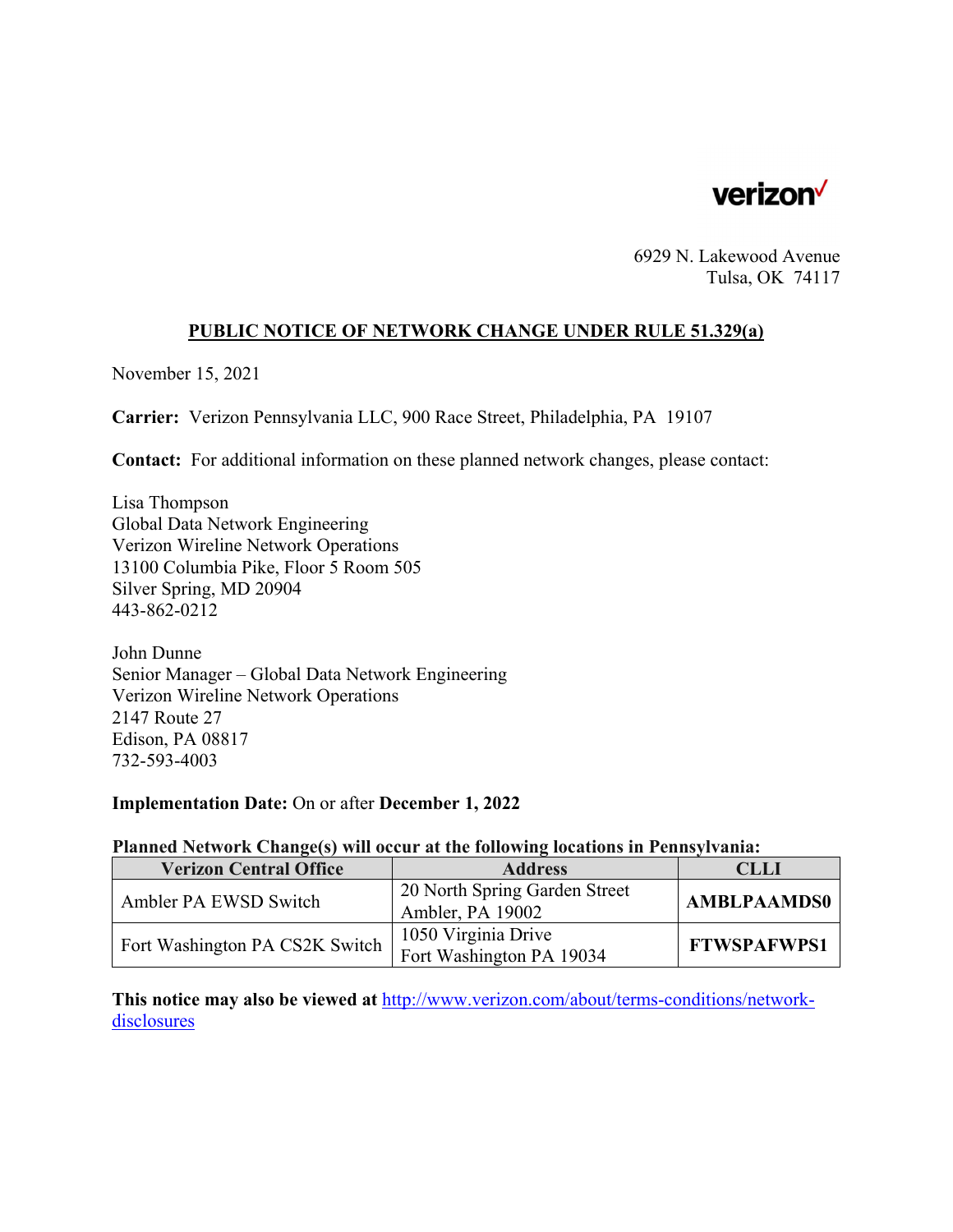

6929 N. Lakewood Avenue Tulsa, OK 74117

# **PUBLIC NOTICE OF NETWORK CHANGE UNDER RULE 51.329(a)**

November 15, 2021

**Carrier:** Verizon Pennsylvania LLC, 900 Race Street, Philadelphia, PA 19107

**Contact:** For additional information on these planned network changes, please contact:

Lisa Thompson Global Data Network Engineering Verizon Wireline Network Operations 13100 Columbia Pike, Floor 5 Room 505 Silver Spring, MD 20904 443-862-0212

John Dunne Senior Manager – Global Data Network Engineering Verizon Wireline Network Operations 2147 Route 27 Edison, PA 08817 732-593-4003

#### **Implementation Date:** On or after **December 1, 2022**

## **Planned Network Change(s) will occur at the following locations in Pennsylvania:**

| <b>Verizon Central Office</b>  | <b>Address</b>                | <b>CLLI</b>        |
|--------------------------------|-------------------------------|--------------------|
| Ambler PA EWSD Switch          | 20 North Spring Garden Street | <b>AMBLPAAMDS0</b> |
|                                | Ambler, PA 19002              |                    |
| Fort Washington PA CS2K Switch | 1050 Virginia Drive           | <b>FTWSPAFWPS1</b> |
|                                | Fort Washington PA 19034      |                    |

**This notice may also be viewed at** http://www.verizon.com/about/terms-conditions/networkdisclosures